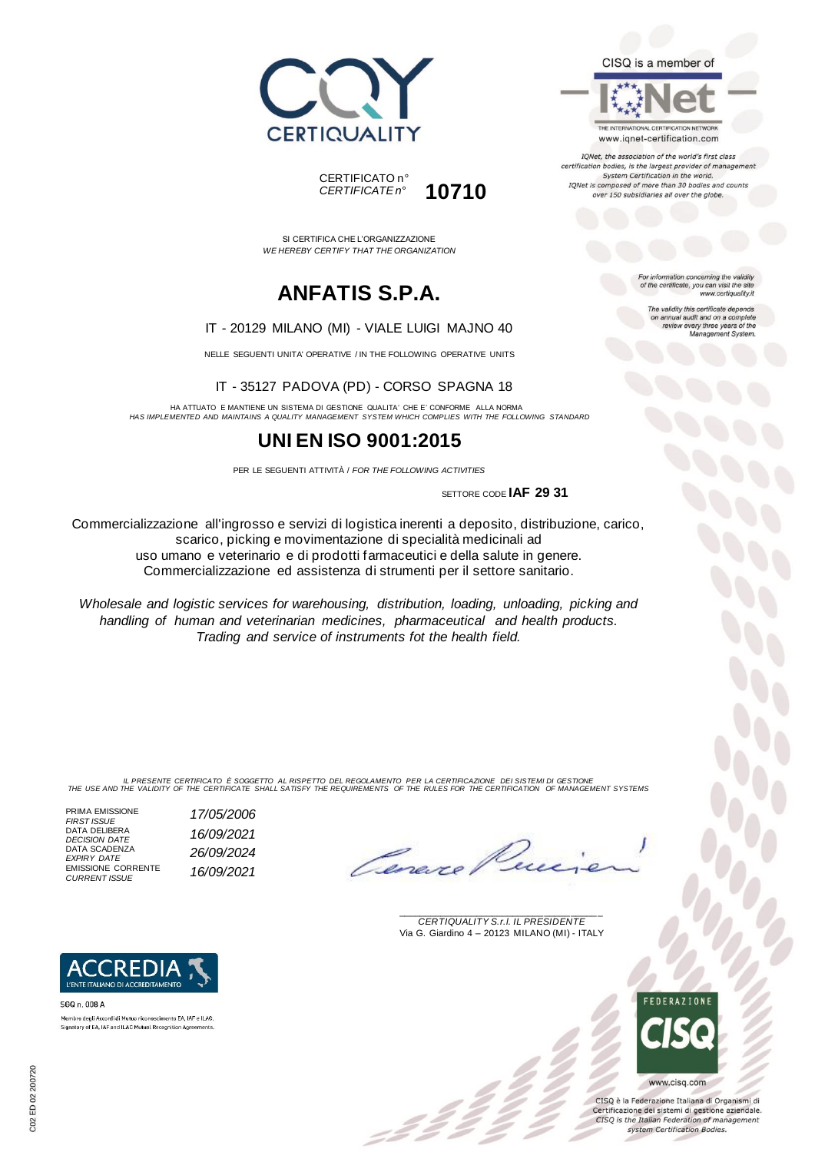



SI CERTIFICA CHE L'ORGANIZZAZIONE *WE HEREBY CERTIFY THAT THE ORGANIZATION*

# **ANFATIS S.P.A.**

#### IT - 20129 MILANO (MI) - VIALE LUIGI MAJNO 40

NELLE SEGUENTI UNITA' OPERATIVE / IN THE FOLLOWING OPERATIVE UNITS

IT - 35127 PADOVA (PD) - CORSO SPAGNA 18

HA ATTUATO E MANTIENE UN SISTEMA DI GESTIONE QUALITA' CHE E' CONFORME ALLA NORMA *HAS IMPLEMENTED AND MAINTAINS A QUALITY MANAGEMENT SYSTEM WHICH COMPLIES WITH THE FOLLOWING STANDARD*

### **UNI EN ISO 9001:2015**

PER LE SEGUENTI ATTIVITÀ / *FOR THE FOLLOWING ACTIVITIES*

SETTORE CODE **IAF 29 31**

Commercializzazione all'ingrosso e servizi di logistica inerenti a deposito, distribuzione, carico, scarico, picking e movimentazione di specialità medicinali ad uso umano e veterinario e di prodotti farmaceutici e della salute in genere. Commercializzazione ed assistenza di strumenti per il settore sanitario.

*Wholesale and logistic services for warehousing, distribution, loading, unloading, picking and handling of human and veterinarian medicines, pharmaceutical and health products. Trading and service of instruments fot the health field.*

IL PRESENTE CERTIFICATO E SOGGETTO AL RISPETTO DEL REGOLAMENTO PER LA CERTIFICAZIONE DEI SISTEMI DI GESTIONE<br>THE USE AND THE VALIDITY OF THE CERTIFICATE SHALL SATISFY THE REQUIREMENTS OF THE RULES FOR THE CERTIFICATION OF

z 2 2

PRIMA EMISSIONE *FIRST ISSUE 17/05/2006* DATA DELIBERA *DECISION DATE 16/09/2021* DATA SCADENZA *EXPIRY DATE 26/09/2024* EMISSIONE CORRENTE *CURRENT ISSUE 16/09/2021*

**ACCREDIA** L'ENTE ITALIANO DI ACCREDITAMENTO

Membro degli Accordi di Mutuo riconoscimento EA, IAF e ILAC Signatory of EA, IAF and ILAC Mutual Recognition Agreements

SGO n 008 A

Overe

\_\_\_\_\_\_\_\_\_\_\_\_\_\_\_\_\_\_\_\_\_\_\_\_\_\_\_\_\_\_\_\_\_\_\_\_\_\_\_ *CERTIQUALITY S.r.l. IL PRESIDENTE* Via G. Giardino 4 – 20123 MILANO (MI) - ITALY



CISO è la Federazione Italiana di Organismi di Certificazione dei sistemi di gestione aziendale. CISQ is the Italian Federation of management system Certification Bodies.



THE INTERNATIONAL CERTIFICATION NETWORK www.iqnet-certification.com

IQNet, the association of the world's first class certification bodies, is the largest provider of management System Certification in the world. IQNet is composed of more than 30 bodies and counts over 150 subsidiaries all over the globe.

> For information concerning the validity<br>of the certificate, you can visit the site www.certiquality.it

> > The validity this certificate depends on annual audit and on a complete<br>review every three years of the<br>Management System.